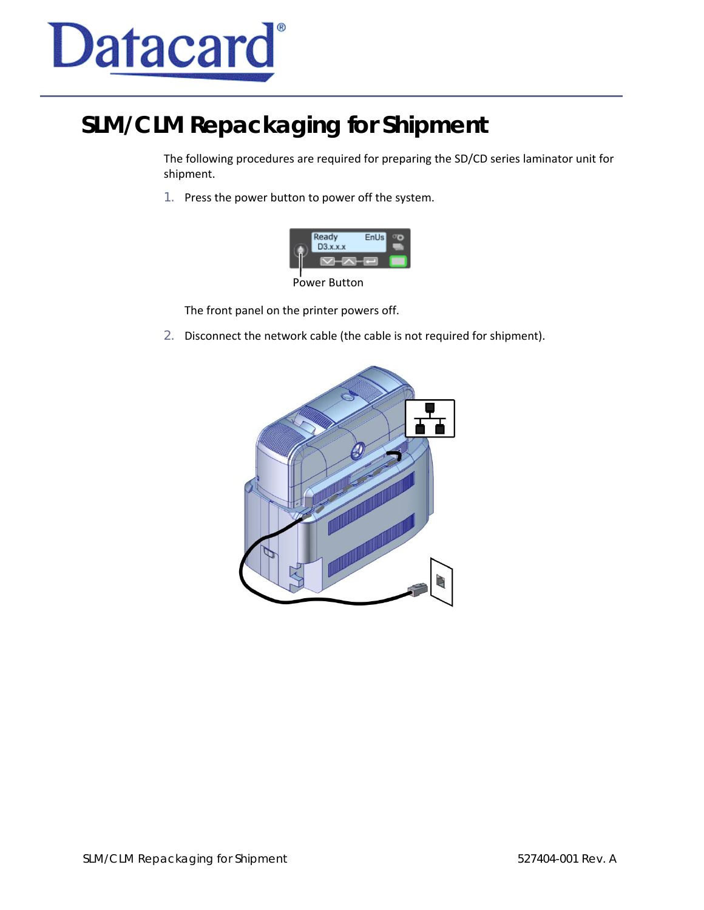

## **SLM/CLM Repackaging for Shipment**

The following procedures are required for preparing the SD/CD series laminator unit for shipment.

1. Press the power button to power off the system.

|  | Ready<br>$D3.$ x.x.x | EnUs |  |
|--|----------------------|------|--|
|  |                      |      |  |
|  | .                    |      |  |

Power Button

The front panel on the printer powers off.

2. Disconnect the network cable (the cable is not required for shipment).

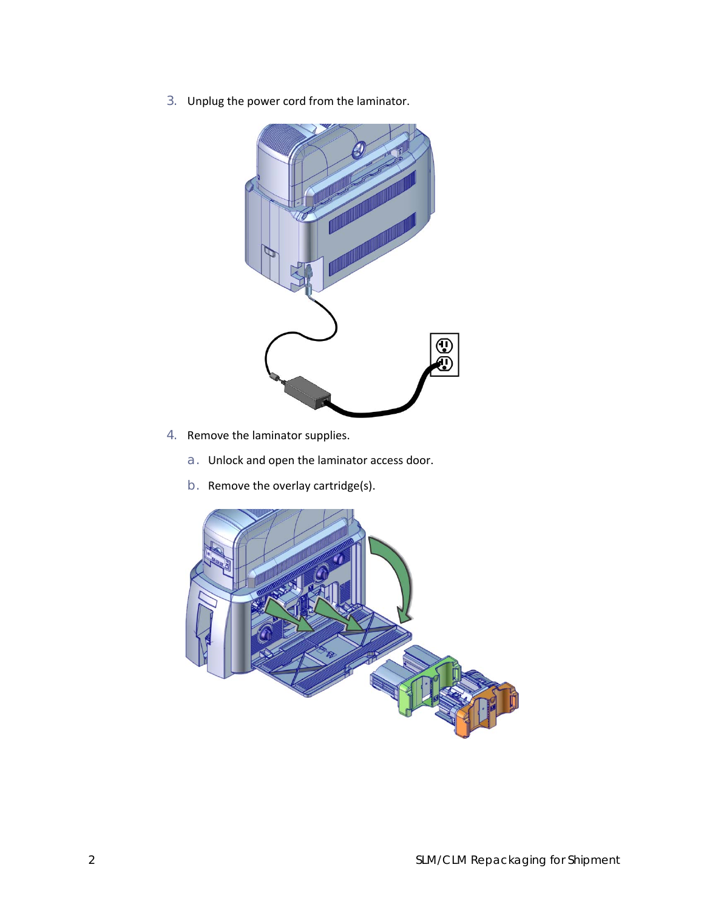3. Unplug the power cord from the laminator.



- 4. Remove the laminator supplies.
	- a. Unlock and open the laminator access door.
	- b. Remove the overlay cartridge(s).

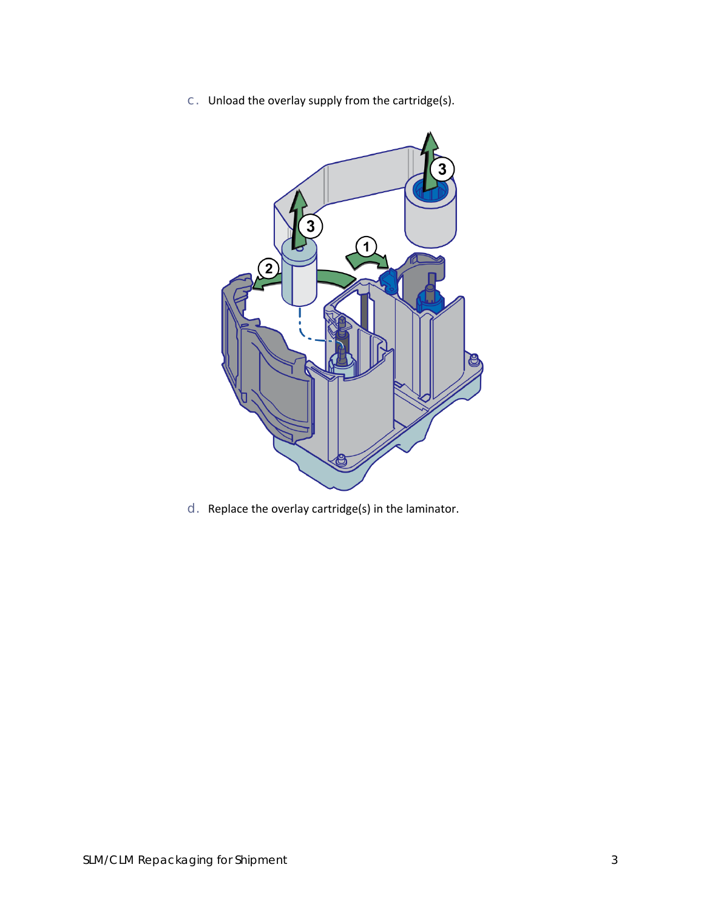c. Unload the overlay supply from the cartridge(s).



d. Replace the overlay cartridge(s) in the laminator.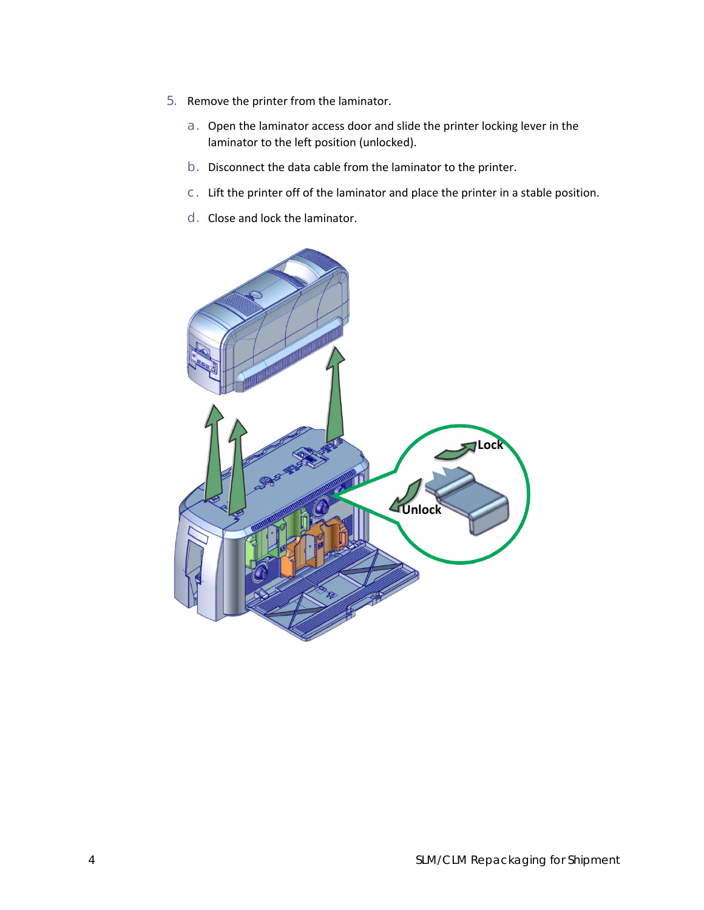- 5. Remove the printer from the laminator.
	- a. Open the laminator access door and slide the printer locking lever in the laminator to the left position (unlocked).
	- b. Disconnect the data cable from the laminator to the printer.
	- c. Lift the printer off of the laminator and place the printer in a stable position.
	- d. Close and lock the laminator.